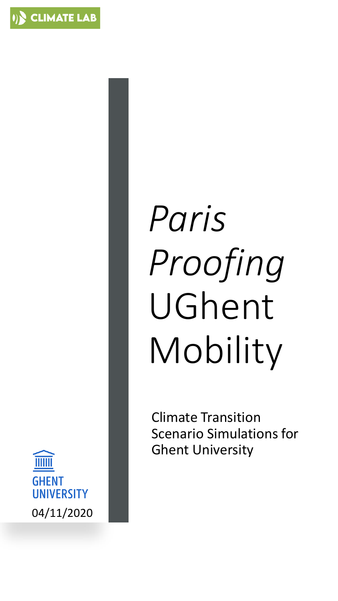

# *Paris Proofing* UGhent Mobility

Climate Transition Scenario Simulations for Ghent University

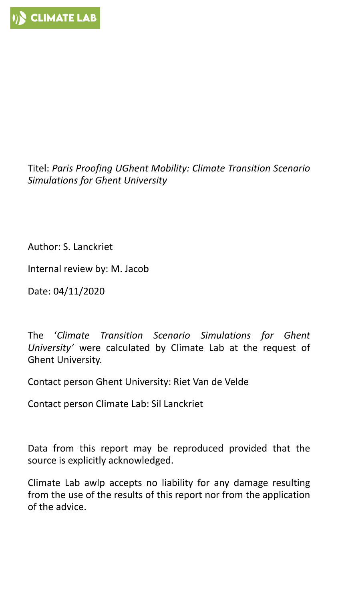Titel: *Paris Proofing UGhent Mobility: Climate Transition Scenario Simulations for Ghent University*

Author: S. Lanckriet

Internal review by: M. Jacob

Date: 04/11/2020

The '*Climate Transition Scenario Simulations for Ghent University'* were calculated by Climate Lab at the request of Ghent University.

Contact person Ghent University: Riet Van de Velde

Contact person Climate Lab: Sil Lanckriet

Data from this report may be reproduced provided that the source is explicitly acknowledged.

Climate Lab awlp accepts no liability for any damage resulting from the use of the results of this report nor from the application of the advice.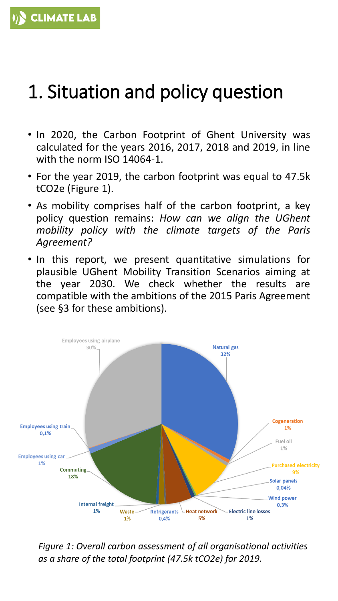### 1. Situation and policy question

- In 2020, the Carbon Footprint of Ghent University was calculated for the years 2016, 2017, 2018 and 2019, in line with the norm ISO 14064-1.
- For the year 2019, the carbon footprint was equal to 47.5k tCO2e (Figure 1).
- As mobility comprises half of the carbon footprint, a key policy question remains: *How can we align the UGhent mobility policy with the climate targets of the Paris Agreement?*
- In this report, we present quantitative simulations for plausible UGhent Mobility Transition Scenarios aiming at the year 2030. We check whether the results are compatible with the ambitions of the 2015 Paris Agreement (see §3 for these ambitions).



*Figure 1: Overall carbon assessment of all organisational activities as a share of the total footprint (47.5k tCO2e) for 2019.*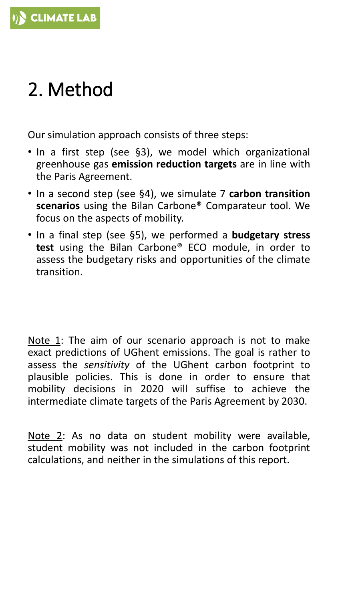# 2. Method

Our simulation approach consists of three steps:

- In a first step (see §3), we model which organizational greenhouse gas **emission reduction targets** are in line with the Paris Agreement.
- In a second step (see §4), we simulate 7 **carbon transition scenarios** using the Bilan Carbone® Comparateur tool. We focus on the aspects of mobility.
- In a final step (see §5), we performed a **budgetary stress test** using the Bilan Carbone® ECO module, in order to assess the budgetary risks and opportunities of the climate transition.

Note 1: The aim of our scenario approach is not to make exact predictions of UGhent emissions. The goal is rather to assess the *sensitivity* of the UGhent carbon footprint to plausible policies. This is done in order to ensure that mobility decisions in 2020 will suffise to achieve the intermediate climate targets of the Paris Agreement by 2030.

Note 2: As no data on student mobility were available, student mobility was not included in the carbon footprint calculations, and neither in the simulations of this report.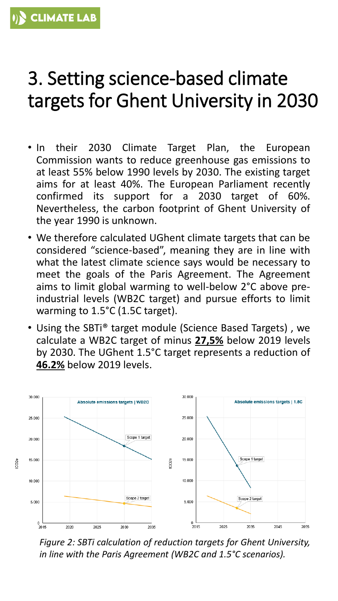#### 3. Setting science-based climate targets for Ghent University in 2030

- In their 2030 Climate Target Plan, the European Commission wants to reduce greenhouse gas emissions to at least 55% below 1990 levels by 2030. The existing target aims for at least 40%. The European Parliament recently confirmed its support for a 2030 target of 60%. Nevertheless, the carbon footprint of Ghent University of the year 1990 is unknown.
- We therefore calculated UGhent climate targets that can be considered "science-based", meaning they are in line with what the latest climate science says would be necessary to meet the goals of the Paris Agreement. The Agreement aims to limit global warming to well-below 2°C above preindustrial levels (WB2C target) and pursue efforts to limit warming to 1.5°C (1.5C target).
- Using the SBTi® target module (Science Based Targets) , we calculate a WB2C target of minus **27,5%** below 2019 levels by 2030. The UGhent 1.5°C target represents a reduction of **46.2%** below 2019 levels.



*Figure 2: SBTi calculation of reduction targets for Ghent University, in line with the Paris Agreement (WB2C and 1.5°C scenarios).*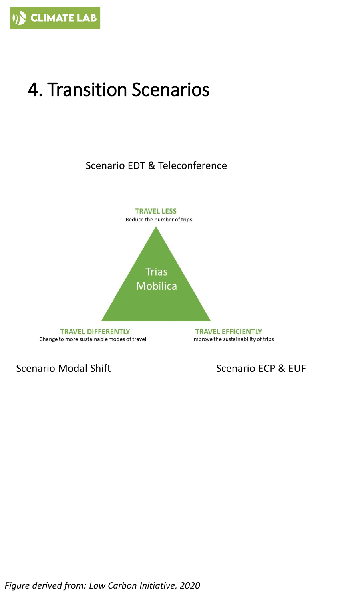# 4. Transition Scenarios

Scenario EDT & Teleconference



Scenario Modal Shift Scenario ECP & EUF

*Figure derived from: Low Carbon Initiative, 2020*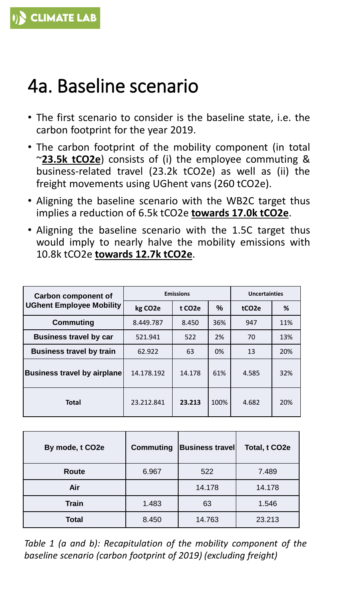#### 4a. Baseline scenario

- The first scenario to consider is the baseline state, i.e. the carbon footprint for the year 2019.
- The carbon footprint of the mobility component (in total ~**23.5k tCO2e**) consists of (i) the employee commuting & business-related travel (23.2k tCO2e) as well as (ii) the freight movements using UGhent vans (260 tCO2e).
- Aligning the baseline scenario with the WB2C target thus implies a reduction of 6.5k tCO2e **towards 17.0k tCO2e**.
- Aligning the baseline scenario with the 1.5C target thus would imply to nearly halve the mobility emissions with 10.8k tCO2e **towards 12.7k tCO2e**.

| <b>Carbon component of</b>         | <b>Emissions</b>     |                     |       | <b>Uncertainties</b> |     |
|------------------------------------|----------------------|---------------------|-------|----------------------|-----|
| <b>UGhent Employee Mobility</b>    | kg CO <sub>2</sub> e | t CO <sub>2</sub> e | %     | tCO <sub>2</sub> e   | %   |
| Commuting                          | 8.449.787            | 8.450               | 36%   | 947                  | 11% |
| <b>Business travel by car</b>      | 521.941              | 522                 | 2%    | 70                   | 13% |
| <b>Business travel by train</b>    | 62.922               | 63                  | $0\%$ | 13                   | 20% |
| <b>Business travel by airplane</b> | 14.178.192           | 14.178              | 61%   | 4.585                | 32% |
| <b>Total</b>                       | 23.212.841           | 23.213              | 100%  | 4.682                | 20% |

| By mode, t CO2e | <b>Commuting</b> | <b>Business travel</b> | Total, t CO2e |
|-----------------|------------------|------------------------|---------------|
| <b>Route</b>    | 6.967            | 522                    | 7.489         |
| Air             |                  | 14.178                 | 14.178        |
| <b>Train</b>    | 1.483            | 63                     | 1.546         |
| Total           | 8.450            | 14.763                 | 23.213        |

*Table 1 (a and b): Recapitulation of the mobility component of the baseline scenario (carbon footprint of 2019) (excluding freight)*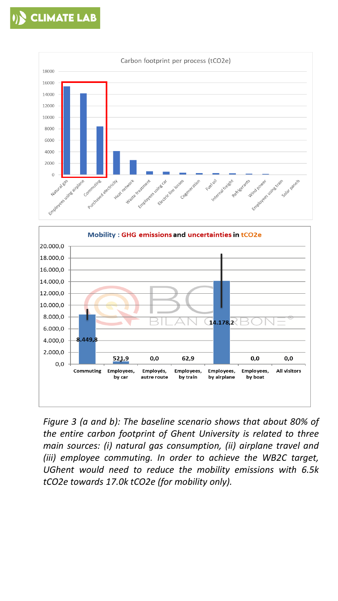



*Figure 3 (a and b): The baseline scenario shows that about 80% of the entire carbon footprint of Ghent University is related to three main sources: (i) natural gas consumption, (ii) airplane travel and (iii) employee commuting. In order to achieve the WB2C target, UGhent would need to reduce the mobility emissions with 6.5k tCO2e towards 17.0k tCO2e (for mobility only).*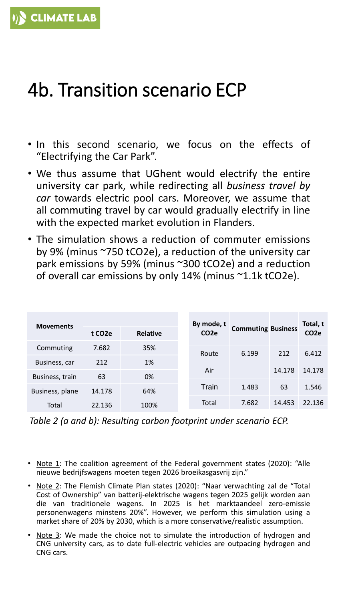#### 4b. Transition scenario ECP

- In this second scenario, we focus on the effects of "Electrifying the Car Park".
- We thus assume that UGhent would electrify the entire university car park, while redirecting all *business travel by car* towards electric pool cars. Moreover, we assume that all commuting travel by car would gradually electrify in line with the expected market evolution in Flanders.
- The simulation shows a reduction of commuter emissions by 9% (minus ~750 tCO2e), a reduction of the university car park emissions by 59% (minus ~300 tCO2e) and a reduction of overall car emissions by only 14% (minus ~1.1k tCO2e).

| <b>Movements</b> |                     |                 | By mode, t        |                           |        | Total, t         |
|------------------|---------------------|-----------------|-------------------|---------------------------|--------|------------------|
|                  | t CO <sub>2</sub> e | <b>Relative</b> | CO <sub>2</sub> e | <b>Commuting Business</b> |        | CO <sub>2e</sub> |
| Commuting        | 7.682               | 35%             | Route             | 6.199                     | 212    | 6.412            |
| Business, car    | 212                 | 1%              |                   |                           |        |                  |
| Business, train  | 63                  | 0%              | Air               |                           | 14.178 | 14.178           |
| Business, plane  | 14.178              | 64%             | Train             | 1.483                     | 63     | 1.546            |
| Total            | 22.136              | 100%            | Total             | 7.682                     | 14.453 | 22.136           |

*Table 2 (a and b): Resulting carbon footprint under scenario ECP.*

- Note 1: The coalition agreement of the Federal government states (2020): "Alle nieuwe bedrijfswagens moeten tegen 2026 broeikasgasvrij zijn."
- Note 2: The Flemish Climate Plan states (2020): "Naar verwachting zal de "Total Cost of Ownership" van batterij-elektrische wagens tegen 2025 gelijk worden aan die van traditionele wagens. In 2025 is het marktaandeel zero-emissie personenwagens minstens 20%". However, we perform this simulation using a market share of 20% by 2030, which is a more conservative/realistic assumption.
- Note 3: We made the choice not to simulate the introduction of hydrogen and CNG university cars, as to date full-electric vehicles are outpacing hydrogen and CNG cars.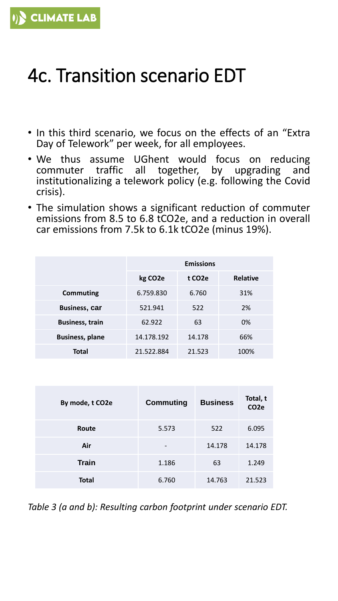## 4c. Transition scenario EDT

- In this third scenario, we focus on the effects of an "Extra Day of Telework" per week, for all employees.
- We thus assume UGhent would focus on reducing commuter traffic all together, by upgrading and commuter traffic all together, by upgrading institutionalizing a telework policy (e.g. following the Covid crisis).
- The simulation shows a significant reduction of commuter emissions from 8.5 to 6.8 tCO2e, and a reduction in overall car emissions from 7.5k to 6.1k tCO2e (minus 19%).

|                        | <b>Emissions</b><br>kg CO <sub>2</sub> e<br><b>Relative</b><br>t CO <sub>2</sub> e |        |      |  |  |
|------------------------|------------------------------------------------------------------------------------|--------|------|--|--|
|                        |                                                                                    |        |      |  |  |
| Commuting              | 6.759.830                                                                          | 6.760  | 31%  |  |  |
| <b>Business, car</b>   | 521.941                                                                            | 522    | 2%   |  |  |
| <b>Business, train</b> | 62.922                                                                             | 63     | 0%   |  |  |
| <b>Business, plane</b> | 14.178.192                                                                         | 14.178 | 66%  |  |  |
| <b>Total</b>           | 21.522.884                                                                         | 21.523 | 100% |  |  |

| By mode, t CO2e | <b>Commuting</b> | <b>Business</b> | Total, t<br>CO <sub>2</sub> e |
|-----------------|------------------|-----------------|-------------------------------|
| Route           | 5.573            | 522             | 6.095                         |
| Air             |                  | 14.178          | 14.178                        |
| <b>Train</b>    | 1.186            | 63              | 1.249                         |
| <b>Total</b>    | 6.760            | 14.763          | 21.523                        |

*Table 3 (a and b): Resulting carbon footprint under scenario EDT.*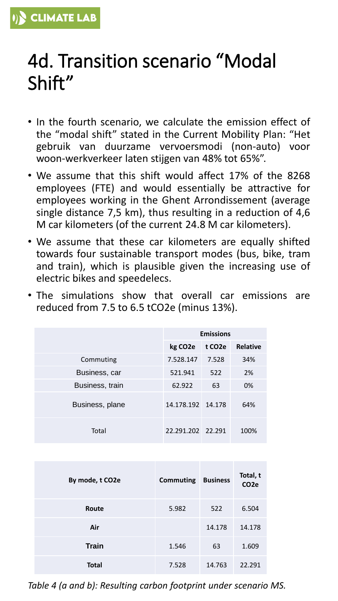#### 4d. Transition scenario "Modal Shift"

- In the fourth scenario, we calculate the emission effect of the "modal shift" stated in the Current Mobility Plan: "Het gebruik van duurzame vervoersmodi (non-auto) voor woon-werkverkeer laten stijgen van 48% tot 65%".
- We assume that this shift would affect 17% of the 8268 employees (FTE) and would essentially be attractive for employees working in the Ghent Arrondissement (average single distance 7,5 km), thus resulting in a reduction of 4,6 M car kilometers (of the current 24.8 M car kilometers).
- We assume that these car kilometers are equally shifted towards four sustainable transport modes (bus, bike, tram and train), which is plausible given the increasing use of electric bikes and speedelecs.
- The simulations show that overall car emissions are reduced from 7.5 to 6.5 tCO2e (minus 13%).

|                 | <b>Emissions</b>     |                     |                 |
|-----------------|----------------------|---------------------|-----------------|
|                 | kg CO <sub>2</sub> e | t CO <sub>2</sub> e | <b>Relative</b> |
| Commuting       | 7.528.147            | 7.528               | 34%             |
| Business, car   | 521.941              | 522                 | 2%              |
| Business, train | 62.922               | 63                  | 0%              |
| Business, plane | 14.178.192 14.178    |                     | 64%             |
| Total           | 22.291.202 22.291    |                     | 100%            |

| By mode, t CO2e | <b>Commuting</b> | <b>Business</b> | Total, t<br>CO <sub>2e</sub> |
|-----------------|------------------|-----------------|------------------------------|
| Route           | 5.982            | 522             | 6.504                        |
| Air             |                  | 14.178          | 14.178                       |
| <b>Train</b>    | 1.546            | 63              | 1.609                        |
| <b>Total</b>    | 7.528            | 14.763          | 22.291                       |

*Table 4 (a and b): Resulting carbon footprint under scenario MS.*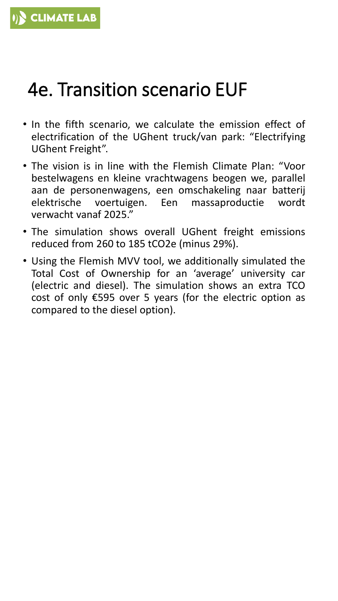### 4e. Transition scenario EUF

- In the fifth scenario, we calculate the emission effect of electrification of the UGhent truck/van park: "Electrifying UGhent Freight".
- The vision is in line with the Flemish Climate Plan: "Voor bestelwagens en kleine vrachtwagens beogen we, parallel aan de personenwagens, een omschakeling naar batterij elektrische voertuigen. Een massaproductie wordt verwacht vanaf 2025."
- The simulation shows overall UGhent freight emissions reduced from 260 to 185 tCO2e (minus 29%).
- Using the Flemish MVV tool, we additionally simulated the Total Cost of Ownership for an 'average' university car (electric and diesel). The simulation shows an extra TCO cost of only €595 over 5 years (for the electric option as compared to the diesel option).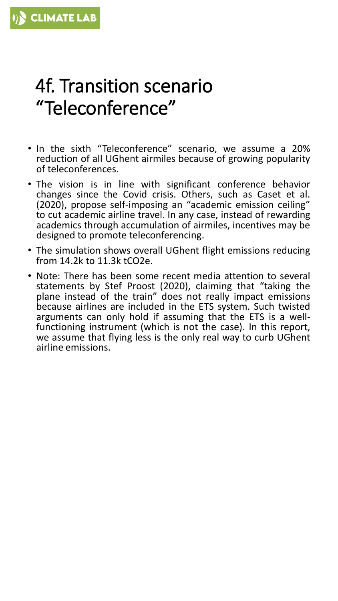#### 4f. Transition scenario "Teleconference"

- In the sixth "Teleconference" scenario, we assume a 20% reduction of all UGhent airmiles because of growing popularity of teleconferences.
- The vision is in line with significant conference behavior changes since the Covid crisis. Others, such as Caset et al. (2020), propose self-imposing an "academic emission ceiling" to cut academic airline travel. In any case, instead of rewarding academics through accumulation of airmiles, incentives may be designed to promote teleconferencing.
- The simulation shows overall UGhent flight emissions reducing from 14.2k to 11.3k tCO2e.
- Note: There has been some recent media attention to several statements by Stef Proost (2020), claiming that "taking the plane instead of the train" does not really impact emissions because airlines are included in the ETS system. Such twisted arguments can only hold if assuming that the ETS is a wellfunctioning instrument (which is not the case). In this report, we assume that flying less is the only real way to curb UGhent airline emissions.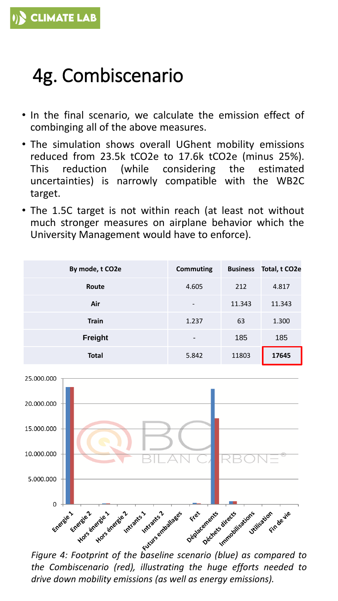# 4g. Combiscenario

- In the final scenario, we calculate the emission effect of combinging all of the above measures.
- The simulation shows overall UGhent mobility emissions reduced from 23.5k tCO2e to 17.6k tCO2e (minus 25%). This reduction (while considering the estimated uncertainties) is narrowly compatible with the WB2C target.
- The 1.5C target is not within reach (at least not without much stronger measures on airplane behavior which the University Management would have to enforce).

| By mode, t CO2e | Commuting                | <b>Business</b> | Total, t CO2e |
|-----------------|--------------------------|-----------------|---------------|
| Route           | 4.605                    | 212             | 4.817         |
| Air             | $\overline{\phantom{a}}$ | 11.343          | 11.343        |
| <b>Train</b>    | 1.237                    | 63              | 1.300         |
| <b>Freight</b>  | $\overline{\phantom{0}}$ | 185             | 185           |
| <b>Total</b>    | 5.842                    | 11803           | 17645         |



*the Combiscenario (red), illustrating the huge efforts needed to drive down mobility emissions (as well as energy emissions).*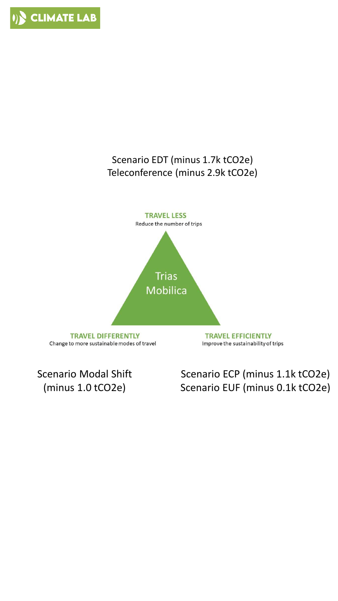

#### Scenario EDT (minus 1.7k tCO2e) Teleconference (minus 2.9k tCO2e)



Scenario Modal Shift (minus 1.0 tCO2e)

#### Scenario ECP (minus 1.1k tCO2e) Scenario EUF (minus 0.1k tCO2e)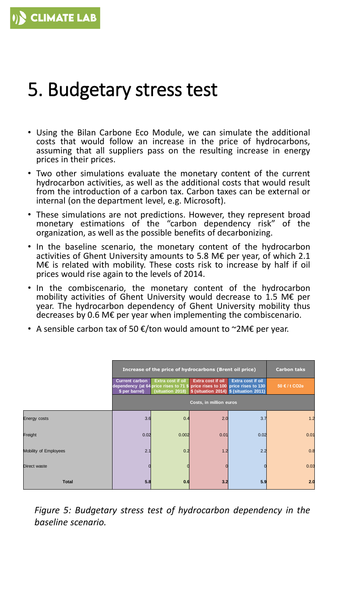#### 5. Budgetary stress test

- Using the Bilan Carbone Eco Module, we can simulate the additional costs that would follow an increase in the price of hydrocarbons, assuming that all suppliers pass on the resulting increase in energy prices in their prices.
- Two other simulations evaluate the monetary content of the current hydrocarbon activities, as well as the additional costs that would result from the introduction of a carbon tax. Carbon taxes can be external or internal (on the department level, e.g. Microsoft).
- These simulations are not predictions. However, they represent broad monetary estimations of the "carbon dependency risk" of the organization, as well as the possible benefits of decarbonizing.
- In the baseline scenario, the monetary content of the hydrocarbon activities of Ghent University amounts to 5.8 M€ per year, of which 2.1 M€ is related with mobility. These costs risk to increase by half if oil prices would rise again to the levels of 2014.
- In the combiscenario, the monetary content of the hydrocarbon mobility activities of Ghent University would decrease to 1.5 M€ per year. The hydrocarbon dependency of Ghent University mobility thus decreases by 0.6 M€ per year when implementing the combiscenario.
- A sensible carbon tax of 50  $\epsilon$ /ton would amount to ~2M $\epsilon$  per year.

|                       | Increase of the price of hydrocarbons (Brent oil price)                                                                            |                   |                                                                               |                   | <b>Carbon taks</b> |
|-----------------------|------------------------------------------------------------------------------------------------------------------------------------|-------------------|-------------------------------------------------------------------------------|-------------------|--------------------|
|                       | <b>Current carbon</b><br>dependency (at 64 price rises to 71 $\frac{1}{2}$ price rises to 100 price rises to 130<br>\$ per barrel) | Extra cost if oil | Extra cost if oil<br>(situation 2018) \$ (situation 2014) \$ (situation 2011) | Extra cost if oil | 50 € / t CO2e      |
|                       |                                                                                                                                    |                   | Costs, in million euros                                                       |                   |                    |
| <b>Energy costs</b>   | 3.6                                                                                                                                | 0.4               | 2.0                                                                           | 3.7               | 1.2                |
| Freight               | 0.02                                                                                                                               | 0.002             | 0.01                                                                          | 0.02              | 0.01               |
| Mobility of Employees | 2.1                                                                                                                                | 0.2               | 1.2                                                                           | 2.2               | 0.8                |
| Direct waste          |                                                                                                                                    |                   |                                                                               |                   | 0.03               |
| <b>Total</b>          | 5.8                                                                                                                                | 0.6               | 3.2                                                                           | 5.9               | 2.0                |

*Figure 5: Budgetary stress test of hydrocarbon dependency in the baseline scenario.*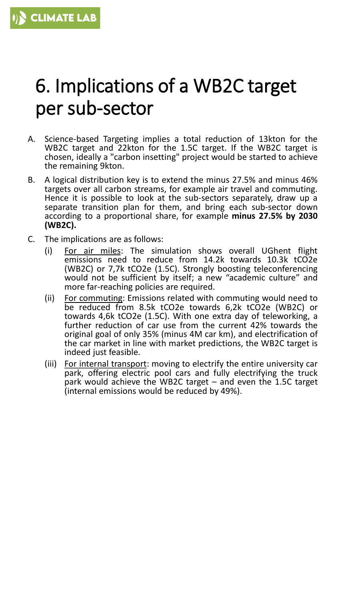#### 6. Implications of a WB2C target per sub-sector

- A. Science-based Targeting implies a total reduction of 13kton for the WB2C target and 22kton for the 1.5C target. If the WB2C target is chosen, ideally a "carbon insetting" project would be started to achieve the remaining 9kton.
- B. A logical distribution key is to extend the minus 27.5% and minus 46% targets over all carbon streams, for example air travel and commuting. Hence it is possible to look at the sub-sectors separately, draw up a separate transition plan for them, and bring each sub-sector down according to a proportional share, for example **minus 27.5% by 2030 (WB2C).**
- C. The implications are as follows:
	- (i) For air miles: The simulation shows overall UGhent flight emissions need to reduce from 14.2k towards 10.3k tCO2e (WB2C) or 7,7k tCO2e (1.5C). Strongly boosting teleconferencing would not be sufficient by itself; a new "academic culture" and more far-reaching policies are required.
	- (ii) For commuting: Emissions related with commuting would need to be reduced from 8.5k tCO2e towards 6,2k tCO2e (WB2C) or towards 4,6k tCO2e (1.5C). With one extra day of teleworking, a further reduction of car use from the current 42% towards the original goal of only 35% (minus 4M car km), and electrification of the car market in line with market predictions, the WB2C target is indeed just feasible.
	- (iii) For internal transport: moving to electrify the entire university car park, offering electric pool cars and fully electrifying the truck park would achieve the WB2C target – and even the 1.5C target (internal emissions would be reduced by 49%).